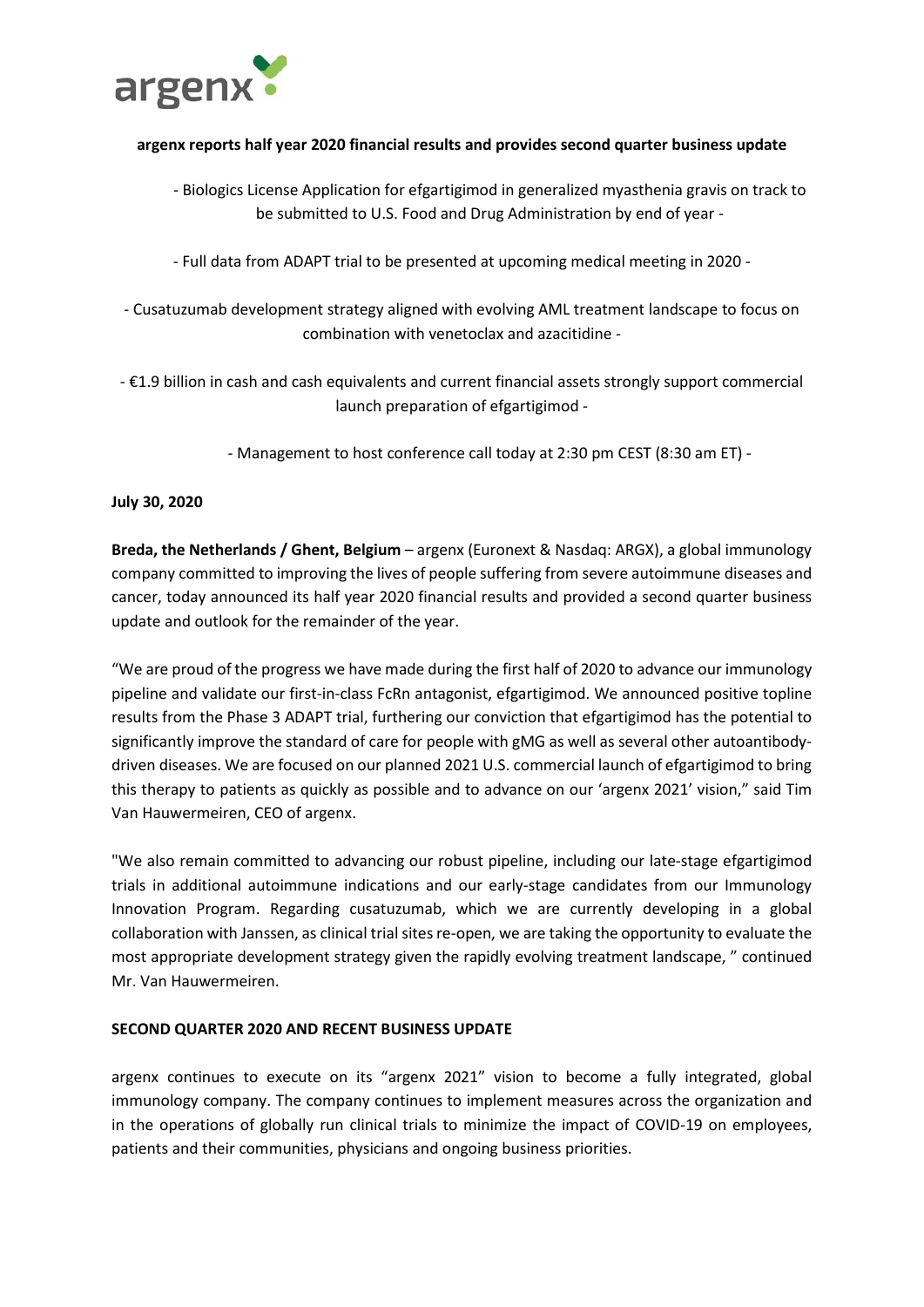

# **argenx reports half year 2020 financial results and provides second quarter business update**

- Biologics License Application for efgartigimod in generalized myasthenia gravis on track to be submitted to U.S. Food and Drug Administration by end of year -
- Full data from ADAPT trial to be presented at upcoming medical meeting in 2020 -
- Cusatuzumab development strategy aligned with evolving AML treatment landscape to focus on combination with venetoclax and azacitidine -
- €1.9 billion in cash and cash equivalents and current financial assets strongly support commercial launch preparation of efgartigimod -
	- Management to host conference call today at 2:30 pm CEST (8:30 am ET) -

# **July 30, 2020**

**Breda, the Netherlands / Ghent, Belgium** – argenx (Euronext & Nasdaq: ARGX), a global immunology company committed to improving the lives of people suffering from severe autoimmune diseases and cancer, today announced its half year 2020 financial results and provided a second quarter business update and outlook for the remainder of the year.

"We are proud of the progress we have made during the first half of 2020 to advance our immunology pipeline and validate our first-in-class FcRn antagonist, efgartigimod. We announced positive topline results from the Phase 3 ADAPT trial, furthering our conviction that efgartigimod has the potential to significantly improve the standard of care for people with gMG as well as several other autoantibodydriven diseases. We are focused on our planned 2021 U.S. commercial launch of efgartigimod to bring this therapy to patients as quickly as possible and to advance on our 'argenx 2021' vision," said Tim Van Hauwermeiren, CEO of argenx.

"We also remain committed to advancing our robust pipeline, including our late-stage efgartigimod trials in additional autoimmune indications and our early-stage candidates from our Immunology Innovation Program. Regarding cusatuzumab, which we are currently developing in a global collaboration with Janssen, as clinical trial sites re-open, we are taking the opportunity to evaluate the most appropriate development strategy given the rapidly evolving treatment landscape, " continued Mr. Van Hauwermeiren.

# **SECOND QUARTER 2020 AND RECENT BUSINESS UPDATE**

argenx continues to execute on its "argenx 2021" vision to become a fully integrated, global immunology company. The company continues to implement measures across the organization and in the operations of globally run clinical trials to minimize the impact of COVID-19 on employees, patients and their communities, physicians and ongoing business priorities.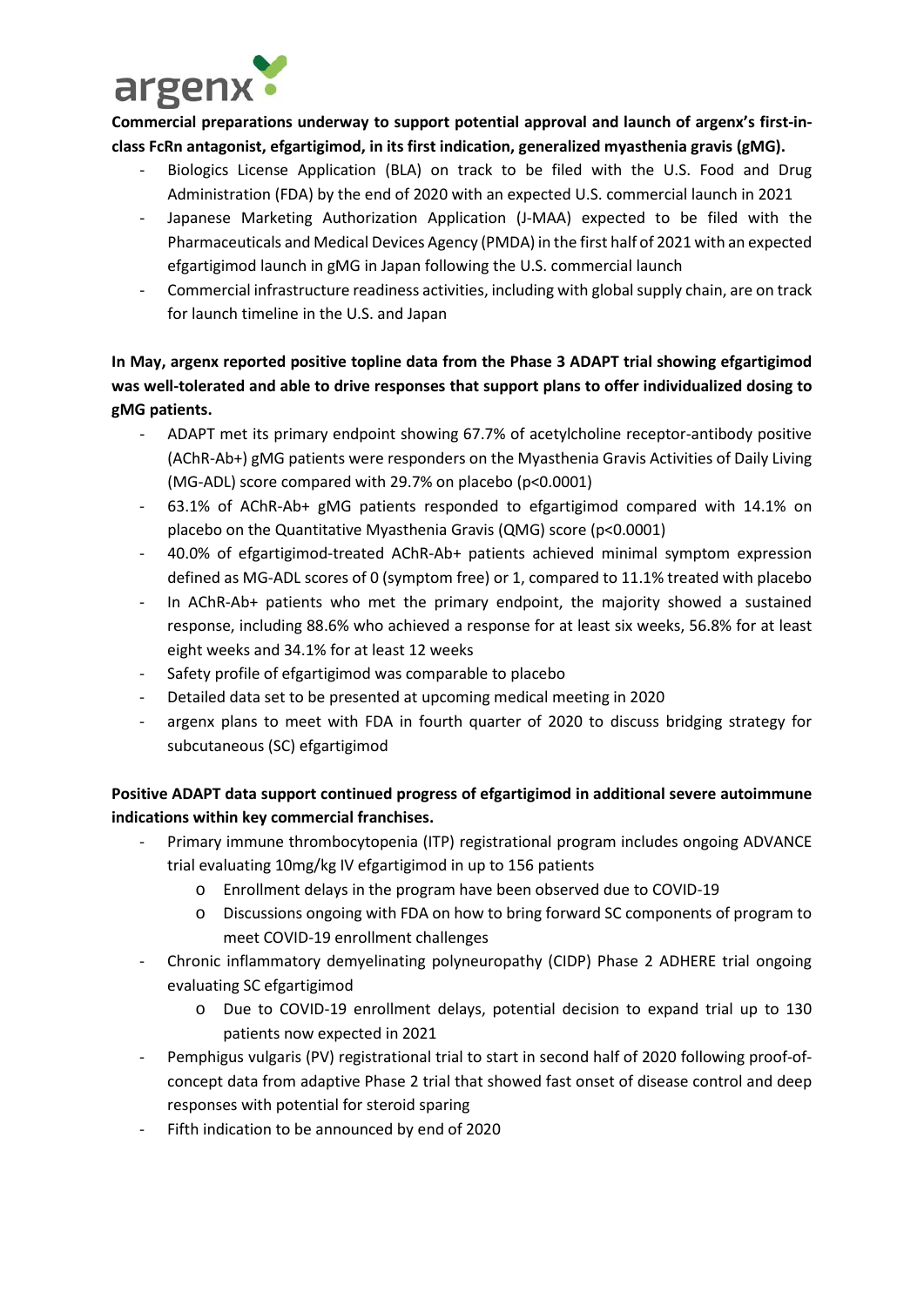

**Commercial preparations underway to support potential approval and launch of argenx's first-inclass FcRn antagonist, efgartigimod, in its first indication, generalized myasthenia gravis (gMG).**

- Biologics License Application (BLA) on track to be filed with the U.S. Food and Drug Administration (FDA) by the end of 2020 with an expected U.S. commercial launch in 2021
- Japanese Marketing Authorization Application (J-MAA) expected to be filed with the Pharmaceuticals and Medical Devices Agency (PMDA) in the first half of 2021 with an expected efgartigimod launch in gMG in Japan following the U.S. commercial launch
- Commercial infrastructure readiness activities, including with global supply chain, are on track for launch timeline in the U.S. and Japan

# **In May, argenx reported positive topline data from the Phase 3 ADAPT trial showing efgartigimod was well-tolerated and able to drive responses that support plans to offer individualized dosing to gMG patients.**

- ADAPT met its primary endpoint showing 67.7% of acetylcholine receptor-antibody positive (AChR-Ab+) gMG patients were responders on the Myasthenia Gravis Activities of Daily Living (MG-ADL) score compared with 29.7% on placebo (p<0.0001)
- 63.1% of AChR-Ab+ gMG patients responded to efgartigimod compared with 14.1% on placebo on the Quantitative Myasthenia Gravis (QMG) score (p<0.0001)
- 40.0% of efgartigimod-treated AChR-Ab+ patients achieved minimal symptom expression defined as MG-ADL scores of 0 (symptom free) or 1, compared to 11.1% treated with placebo
- In AChR-Ab+ patients who met the primary endpoint, the majority showed a sustained response, including 88.6% who achieved a response for at least six weeks, 56.8% for at least eight weeks and 34.1% for at least 12 weeks
- Safety profile of efgartigimod was comparable to placebo
- Detailed data set to be presented at upcoming medical meeting in 2020
- argenx plans to meet with FDA in fourth quarter of 2020 to discuss bridging strategy for subcutaneous (SC) efgartigimod

# **Positive ADAPT data support continued progress of efgartigimod in additional severe autoimmune indications within key commercial franchises.**

- Primary immune thrombocytopenia (ITP) registrational program includes ongoing ADVANCE trial evaluating 10mg/kg IV efgartigimod in up to 156 patients
	- o Enrollment delays in the program have been observed due to COVID-19
	- o Discussions ongoing with FDA on how to bring forward SC components of program to meet COVID-19 enrollment challenges
- Chronic inflammatory demyelinating polyneuropathy (CIDP) Phase 2 ADHERE trial ongoing evaluating SC efgartigimod
	- o Due to COVID-19 enrollment delays, potential decision to expand trial up to 130 patients now expected in 2021
- Pemphigus vulgaris (PV) registrational trial to start in second half of 2020 following proof-ofconcept data from adaptive Phase 2 trial that showed fast onset of disease control and deep responses with potential for steroid sparing
- Fifth indication to be announced by end of 2020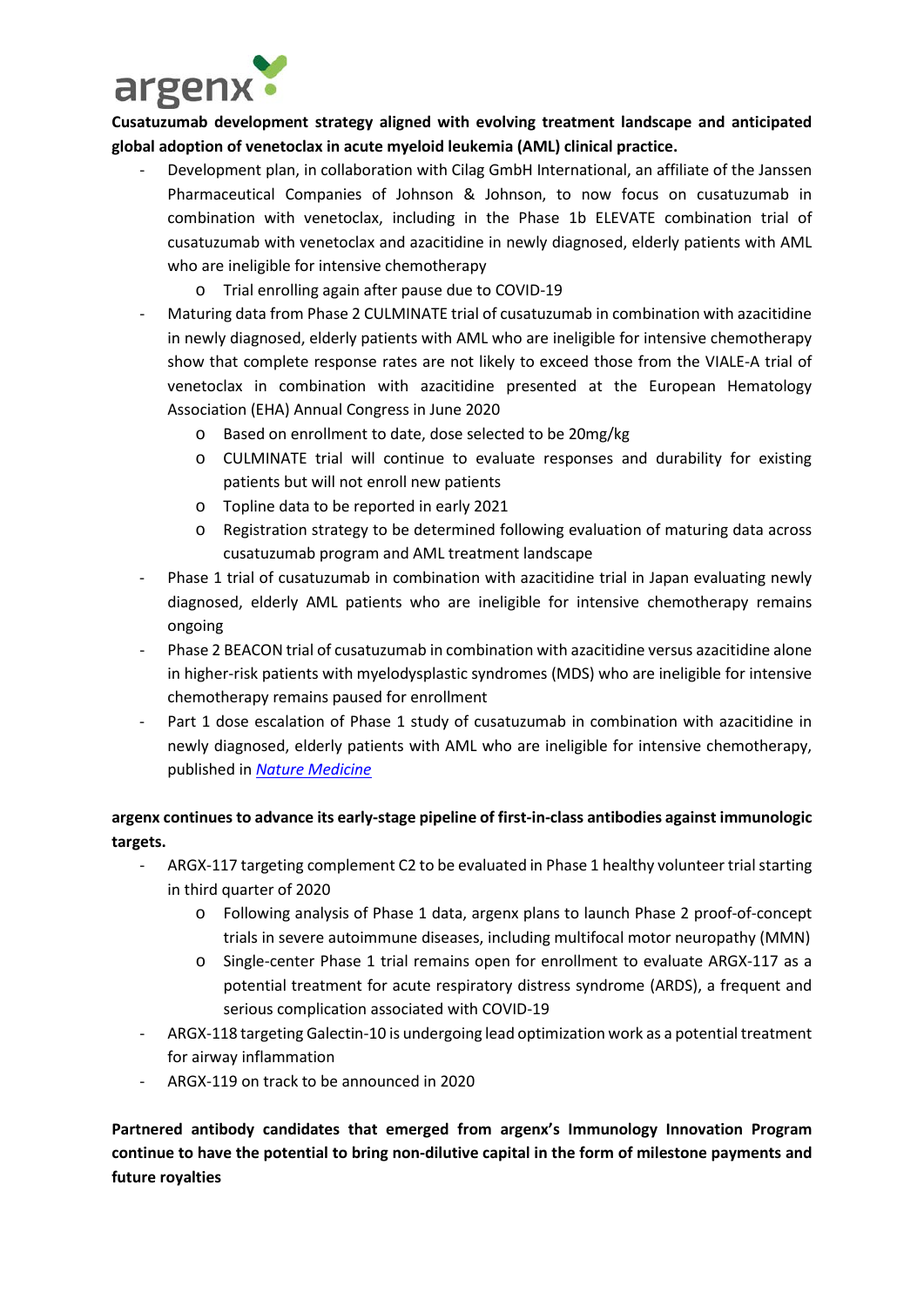

**Cusatuzumab development strategy aligned with evolving treatment landscape and anticipated global adoption of venetoclax in acute myeloid leukemia (AML) clinical practice.**

- Development plan, in collaboration with Cilag GmbH International, an affiliate of the Janssen Pharmaceutical Companies of Johnson & Johnson, to now focus on cusatuzumab in combination with venetoclax, including in the Phase 1b ELEVATE combination trial of cusatuzumab with venetoclax and azacitidine in newly diagnosed, elderly patients with AML who are ineligible for intensive chemotherapy
	- o Trial enrolling again after pause due to COVID-19
- Maturing data from Phase 2 CULMINATE trial of cusatuzumab in combination with azacitidine in newly diagnosed, elderly patients with AML who are ineligible for intensive chemotherapy show that complete response rates are not likely to exceed those from the VIALE-A trial of venetoclax in combination with azacitidine presented at the European Hematology Association (EHA) Annual Congress in June 2020
	- o Based on enrollment to date, dose selected to be 20mg/kg
	- o CULMINATE trial will continue to evaluate responses and durability for existing patients but will not enroll new patients
	- o Topline data to be reported in early 2021
	- o Registration strategy to be determined following evaluation of maturing data across cusatuzumab program and AML treatment landscape
- Phase 1 trial of cusatuzumab in combination with azacitidine trial in Japan evaluating newly diagnosed, elderly AML patients who are ineligible for intensive chemotherapy remains ongoing
- Phase 2 BEACON trial of cusatuzumab in combination with azacitidine versus azacitidine alone in higher-risk patients with myelodysplastic syndromes (MDS) who are ineligible for intensive chemotherapy remains paused for enrollment
- Part 1 dose escalation of Phase 1 study of cusatuzumab in combination with azacitidine in newly diagnosed, elderly patients with AML who are ineligible for intensive chemotherapy, published in *[Nature Medicine](https://www.nature.com/articles/s41591-020-0910-8)*

# **argenx continues to advance its early-stage pipeline of first-in-class antibodies against immunologic targets.**

- ARGX-117 targeting complement C2 to be evaluated in Phase 1 healthy volunteer trial starting in third quarter of 2020
	- o Following analysis of Phase 1 data, argenx plans to launch Phase 2 proof-of-concept trials in severe autoimmune diseases, including multifocal motor neuropathy (MMN)
	- o Single-center Phase 1 trial remains open for enrollment to evaluate ARGX-117 as a potential treatment for acute respiratory distress syndrome (ARDS), a frequent and serious complication associated with COVID-19
- ARGX-118 targeting Galectin-10 is undergoing lead optimization work as a potential treatment for airway inflammation
- ARGX-119 on track to be announced in 2020

**Partnered antibody candidates that emerged from argenx's Immunology Innovation Program continue to have the potential to bring non-dilutive capital in the form of milestone payments and future royalties**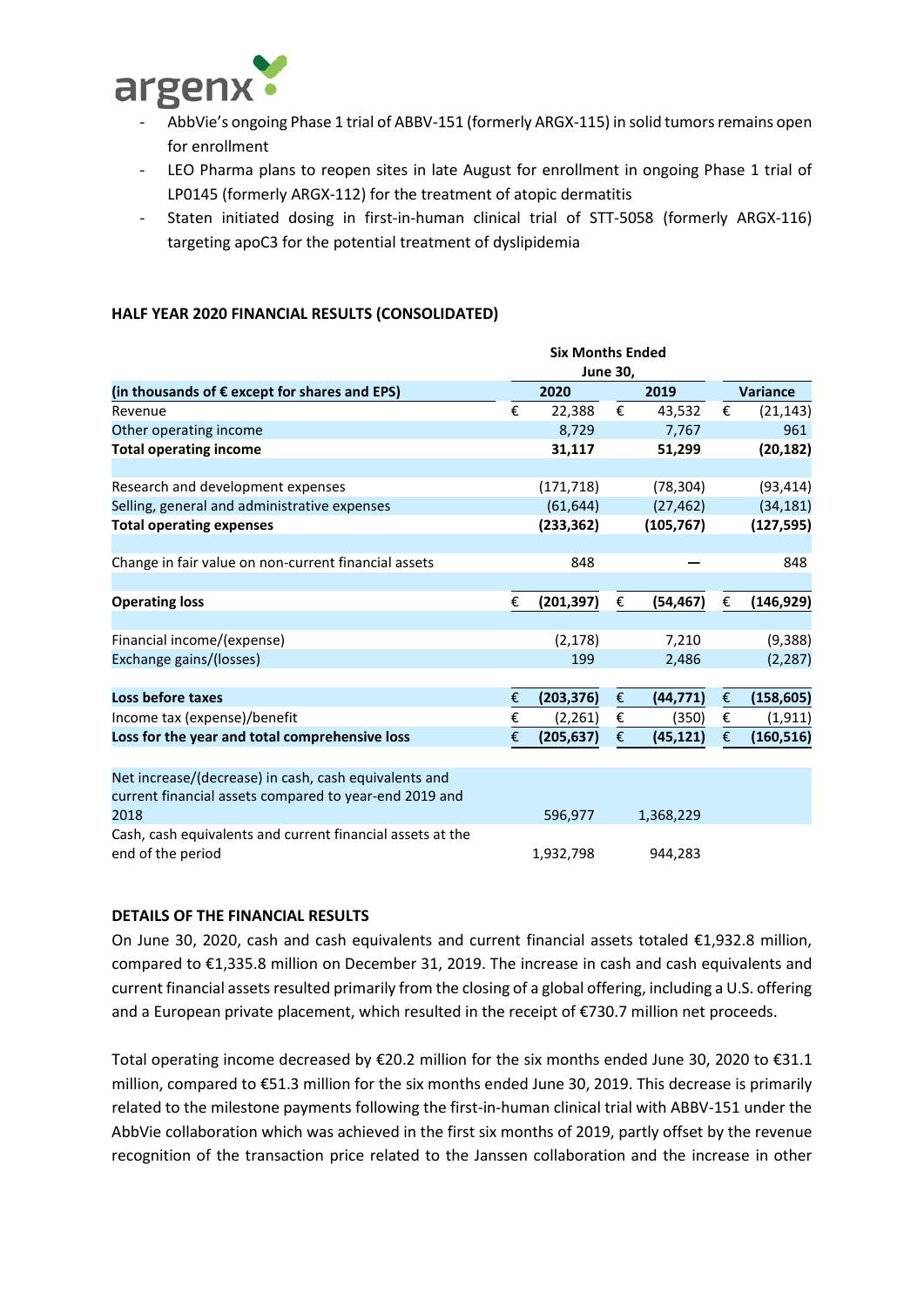

- AbbVie's ongoing Phase 1 trial of ABBV-151 (formerly ARGX-115) in solid tumors remains open for enrollment
- LEO Pharma plans to reopen sites in late August for enrollment in ongoing Phase 1 trial of LP0145 (formerly ARGX-112) for the treatment of atopic dermatitis
- Staten initiated dosing in first-in-human clinical trial of STT-5058 (formerly ARGX-116) targeting apoC3 for the potential treatment of dyslipidemia

# **HALF YEAR 2020 FINANCIAL RESULTS (CONSOLIDATED)**

|                                                                                                                 | <b>Six Months Ended</b> |                 |                         |            |                         |                 |  |
|-----------------------------------------------------------------------------------------------------------------|-------------------------|-----------------|-------------------------|------------|-------------------------|-----------------|--|
|                                                                                                                 |                         | <b>June 30,</b> |                         |            |                         |                 |  |
| (in thousands of € except for shares and EPS)                                                                   |                         | 2020            |                         | 2019       |                         | <b>Variance</b> |  |
| Revenue                                                                                                         | €                       | 22,388          | €                       | 43,532     | €                       | (21, 143)       |  |
| Other operating income                                                                                          |                         | 8,729           |                         | 7,767      |                         | 961             |  |
| <b>Total operating income</b>                                                                                   |                         | 31,117          |                         | 51,299     |                         | (20, 182)       |  |
| Research and development expenses                                                                               |                         | (171, 718)      |                         | (78, 304)  |                         | (93, 414)       |  |
| Selling, general and administrative expenses                                                                    |                         | (61, 644)       |                         | (27, 462)  |                         | (34, 181)       |  |
| <b>Total operating expenses</b>                                                                                 |                         | (233, 362)      |                         | (105, 767) |                         | (127, 595)      |  |
| Change in fair value on non-current financial assets                                                            |                         | 848             |                         |            |                         | 848             |  |
| <b>Operating loss</b>                                                                                           | €                       | (201, 397)      | €                       | (54, 467)  | €                       | (146, 929)      |  |
| Financial income/(expense)                                                                                      |                         | (2, 178)        |                         | 7,210      |                         | (9, 388)        |  |
| Exchange gains/(losses)                                                                                         |                         | 199             |                         | 2,486      |                         | (2, 287)        |  |
| Loss before taxes                                                                                               | €                       | (203, 376)      | $\boldsymbol{\epsilon}$ | (44, 771)  | $\pmb{\epsilon}$        | (158, 605)      |  |
| Income tax (expense)/benefit                                                                                    | €                       | (2, 261)        | €                       | (350)      | €                       | (1, 911)        |  |
| Loss for the year and total comprehensive loss                                                                  | €                       | (205, 637)      | €                       | (45, 121)  | $\boldsymbol{\epsilon}$ | (160, 516)      |  |
| Net increase/(decrease) in cash, cash equivalents and<br>current financial assets compared to year-end 2019 and |                         |                 |                         |            |                         |                 |  |
| 2018                                                                                                            |                         | 596,977         |                         | 1,368,229  |                         |                 |  |
| Cash, cash equivalents and current financial assets at the<br>end of the period                                 |                         | 1,932,798       |                         | 944,283    |                         |                 |  |

#### **DETAILS OF THE FINANCIAL RESULTS**

On June 30, 2020, cash and cash equivalents and current financial assets totaled €1,932.8 million, compared to €1,335.8 million on December 31, 2019. The increase in cash and cash equivalents and current financial assets resulted primarily from the closing of a global offering, including a U.S. offering and a European private placement, which resulted in the receipt of €730.7 million net proceeds.

Total operating income decreased by €20.2 million for the six months ended June 30, 2020 to €31.1 million, compared to €51.3 million for the six months ended June 30, 2019. This decrease is primarily related to the milestone payments following the first-in-human clinical trial with ABBV-151 under the AbbVie collaboration which was achieved in the first six months of 2019, partly offset by the revenue recognition of the transaction price related to the Janssen collaboration and the increase in other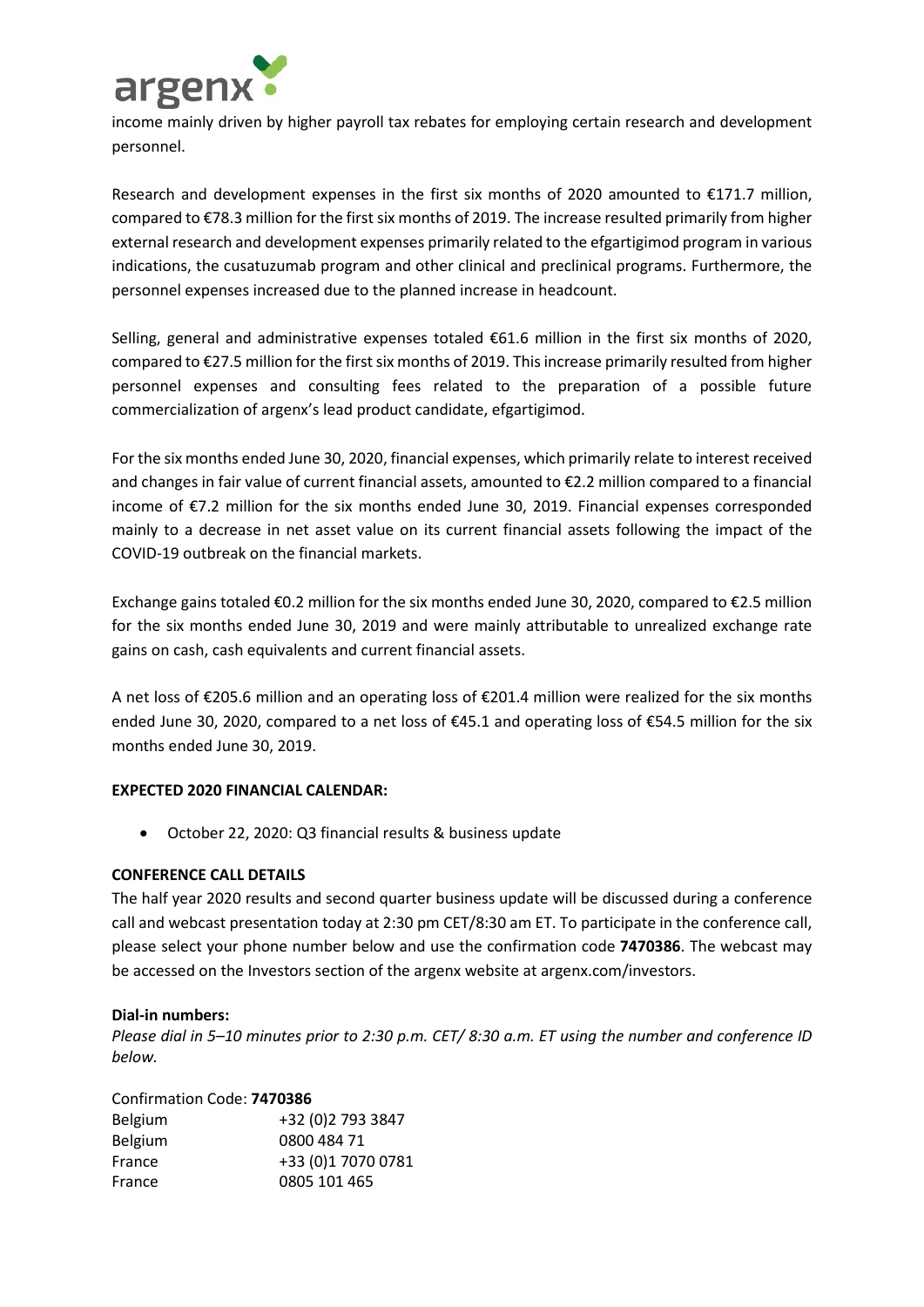

income mainly driven by higher payroll tax rebates for employing certain research and development personnel.

Research and development expenses in the first six months of 2020 amounted to €171.7 million, compared to €78.3 million for the first six months of 2019. The increase resulted primarily from higher external research and development expenses primarily related to the efgartigimod program in various indications, the cusatuzumab program and other clinical and preclinical programs. Furthermore, the personnel expenses increased due to the planned increase in headcount.

Selling, general and administrative expenses totaled €61.6 million in the first six months of 2020, compared to €27.5 million for the first six months of 2019. This increase primarily resulted from higher personnel expenses and consulting fees related to the preparation of a possible future commercialization of argenx's lead product candidate, efgartigimod.

For the six months ended June 30, 2020, financial expenses, which primarily relate to interest received and changes in fair value of current financial assets, amounted to €2.2 million compared to a financial income of €7.2 million for the six months ended June 30, 2019. Financial expenses corresponded mainly to a decrease in net asset value on its current financial assets following the impact of the COVID-19 outbreak on the financial markets.

Exchange gains totaled €0.2 million for the six months ended June 30, 2020, compared to €2.5 million for the six months ended June 30, 2019 and were mainly attributable to unrealized exchange rate gains on cash, cash equivalents and current financial assets.

A net loss of €205.6 million and an operating loss of €201.4 million were realized for the six months ended June 30, 2020, compared to a net loss of €45.1 and operating loss of €54.5 million for the six months ended June 30, 2019.

# **EXPECTED 2020 FINANCIAL CALENDAR:**

• October 22, 2020: Q3 financial results & business update

# **CONFERENCE CALL DETAILS**

The half year 2020 results and second quarter business update will be discussed during a conference call and webcast presentation today at 2:30 pm CET/8:30 am ET. To participate in the conference call, please select your phone number below and use the confirmation code **7470386**. The webcast may be accessed on the Investors section of the argenx website at argenx.com/investors.

# **Dial-in numbers:**

*Please dial in 5–10 minutes prior to 2:30 p.m. CET/ 8:30 a.m. ET using the number and conference ID below.*

# Confirmation Code: **7470386**

| <b>Belgium</b> | +32 (0)2 793 3847  |
|----------------|--------------------|
| <b>Belgium</b> | 0800 484 71        |
| France         | +33 (0)1 7070 0781 |
| France         | 0805 101 465       |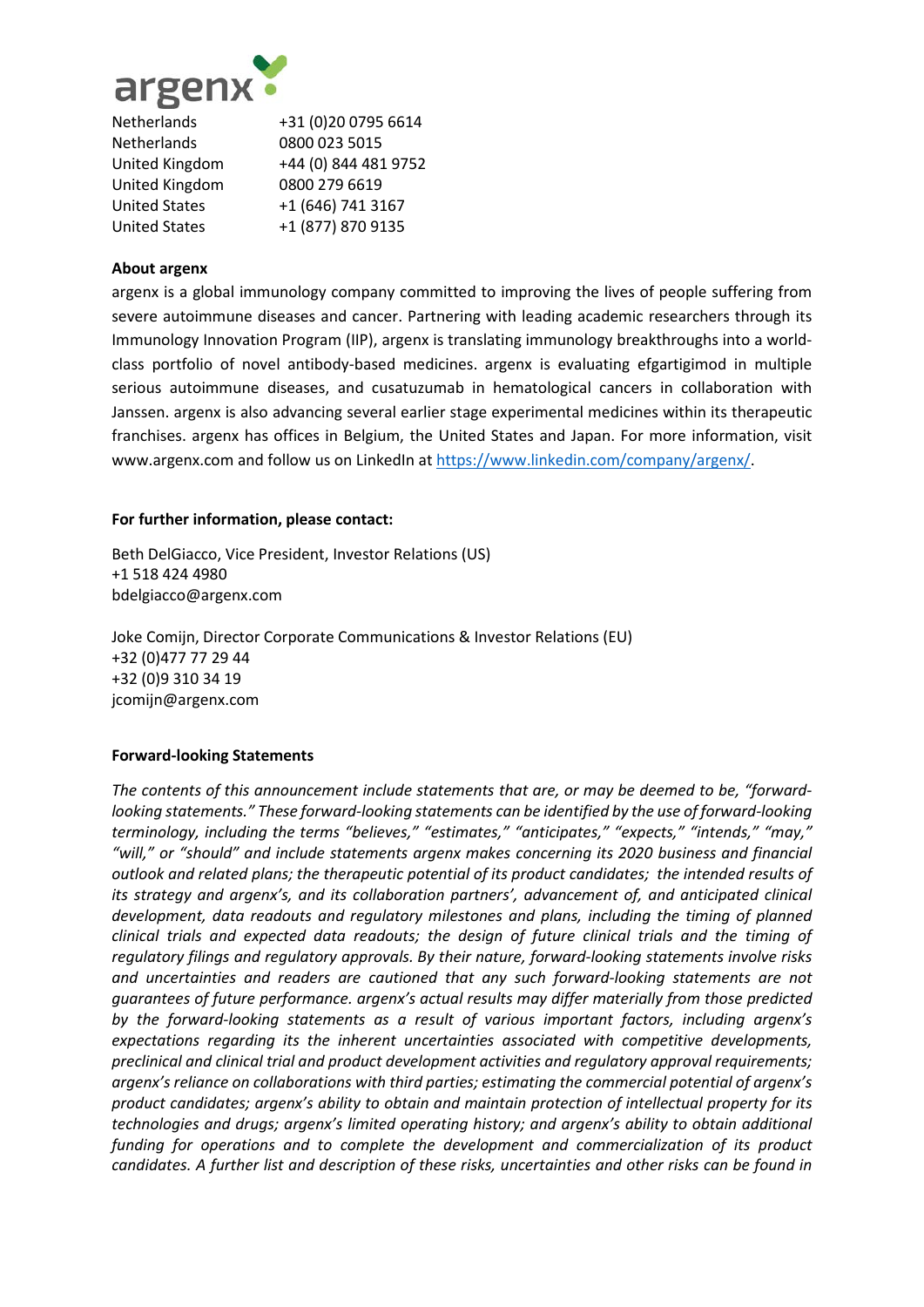

| Netherlands           | +31 (0)20 0795 6614  |
|-----------------------|----------------------|
| <b>Netherlands</b>    | 0800 023 5015        |
| <b>United Kingdom</b> | +44 (0) 844 481 9752 |
| <b>United Kingdom</b> | 0800 279 6619        |
| <b>United States</b>  | +1 (646) 741 3167    |
| <b>United States</b>  | +1 (877) 870 9135    |

# **About argenx**

argenx is a global immunology company committed to improving the lives of people suffering from severe autoimmune diseases and cancer. Partnering with leading academic researchers through its Immunology Innovation Program (IIP), argenx is translating immunology breakthroughs into a worldclass portfolio of novel antibody-based medicines. argenx is evaluating efgartigimod in multiple serious autoimmune diseases, and cusatuzumab in hematological cancers in collaboration with Janssen. argenx is also advancing several earlier stage experimental medicines within its therapeutic franchises. argenx has offices in Belgium, the United States and Japan. For more information, visit [www.argenx.com](https://www.argenx.com/en-GB/content/argenx-in-short/2/1/) and follow us on LinkedIn at [https://www.linkedin.com/company/argenx/.](https://www.linkedin.com/company/argenx/)

# **For further information, please contact:**

Beth DelGiacco, Vice President, Investor Relations (US) +1 518 424 4980 bdelgiacco@argenx.com

Joke Comijn, Director Corporate Communications & Investor Relations (EU) +32 (0)477 77 29 44 +32 (0)9 310 34 19 jcomijn@argenx.com

# **Forward-looking Statements**

*The contents of this announcement include statements that are, or may be deemed to be, "forwardlooking statements." These forward-looking statements can be identified by the use of forward-looking terminology, including the terms "believes," "estimates," "anticipates," "expects," "intends," "may," "will," or "should" and include statements argenx makes concerning its 2020 business and financial outlook and related plans; the therapeutic potential of its product candidates; the intended results of its strategy and argenx's, and its collaboration partners', advancement of, and anticipated clinical development, data readouts and regulatory milestones and plans, including the timing of planned clinical trials and expected data readouts; the design of future clinical trials and the timing of regulatory filings and regulatory approvals. By their nature, forward-looking statements involve risks and uncertainties and readers are cautioned that any such forward-looking statements are not guarantees of future performance. argenx's actual results may differ materially from those predicted by the forward-looking statements as a result of various important factors, including argenx's expectations regarding its the inherent uncertainties associated with competitive developments, preclinical and clinical trial and product development activities and regulatory approval requirements; argenx's reliance on collaborations with third parties; estimating the commercial potential of argenx's product candidates; argenx's ability to obtain and maintain protection of intellectual property for its technologies and drugs; argenx's limited operating history; and argenx's ability to obtain additional funding for operations and to complete the development and commercialization of its product candidates. A further list and description of these risks, uncertainties and other risks can be found in*